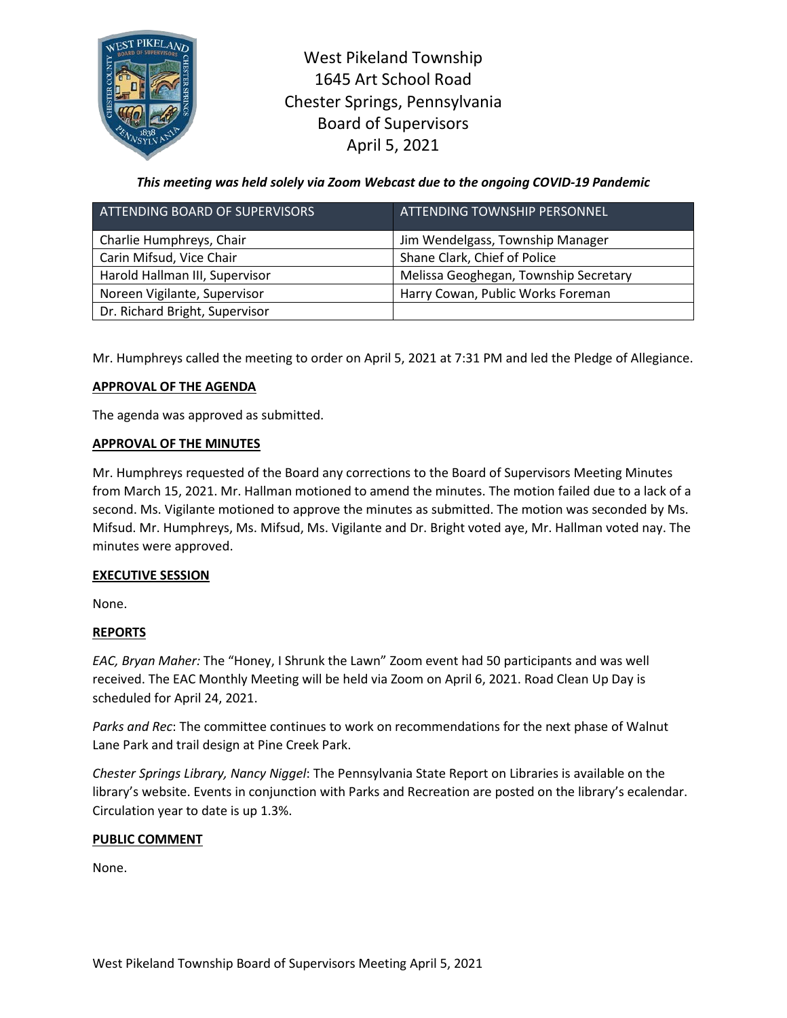

West Pikeland Township 1645 Art School Road Chester Springs, Pennsylvania Board of Supervisors April 5, 2021

*This meeting was held solely via Zoom Webcast due to the ongoing COVID-19 Pandemic*

| ATTENDING BOARD OF SUPERVISORS | ATTENDING TOWNSHIP PERSONNEL          |
|--------------------------------|---------------------------------------|
| Charlie Humphreys, Chair       | Jim Wendelgass, Township Manager      |
| Carin Mifsud, Vice Chair       | Shane Clark, Chief of Police          |
| Harold Hallman III, Supervisor | Melissa Geoghegan, Township Secretary |
| Noreen Vigilante, Supervisor   | Harry Cowan, Public Works Foreman     |
| Dr. Richard Bright, Supervisor |                                       |

Mr. Humphreys called the meeting to order on April 5, 2021 at 7:31 PM and led the Pledge of Allegiance.

# **APPROVAL OF THE AGENDA**

The agenda was approved as submitted.

## **APPROVAL OF THE MINUTES**

Mr. Humphreys requested of the Board any corrections to the Board of Supervisors Meeting Minutes from March 15, 2021. Mr. Hallman motioned to amend the minutes. The motion failed due to a lack of a second. Ms. Vigilante motioned to approve the minutes as submitted. The motion was seconded by Ms. Mifsud. Mr. Humphreys, Ms. Mifsud, Ms. Vigilante and Dr. Bright voted aye, Mr. Hallman voted nay. The minutes were approved.

# **EXECUTIVE SESSION**

None.

# **REPORTS**

*EAC, Bryan Maher:* The "Honey, I Shrunk the Lawn" Zoom event had 50 participants and was well received. The EAC Monthly Meeting will be held via Zoom on April 6, 2021. Road Clean Up Day is scheduled for April 24, 2021.

*Parks and Rec*: The committee continues to work on recommendations for the next phase of Walnut Lane Park and trail design at Pine Creek Park.

*Chester Springs Library, Nancy Niggel*: The Pennsylvania State Report on Libraries is available on the library's website. Events in conjunction with Parks and Recreation are posted on the library's ecalendar. Circulation year to date is up 1.3%.

### **PUBLIC COMMENT**

None.